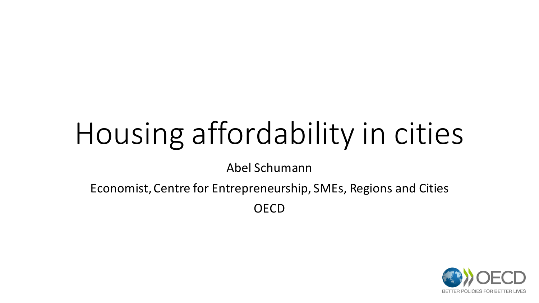# Housing affordability in cities

Abel Schumann

Economist, Centre for Entrepreneurship, SMEs, Regions and Cities

**OECD** 

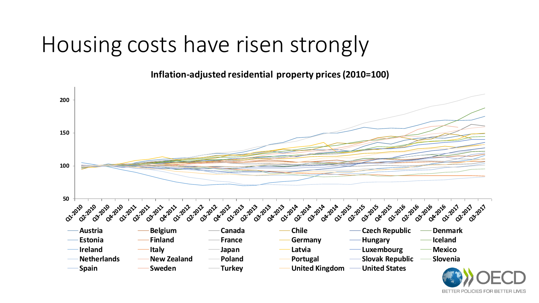#### Housing costs have risen strongly

**Inflation-adjusted residential property prices (2010=100)**



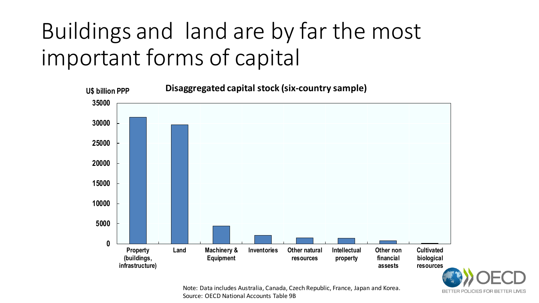### Buildings and land are by far the most important forms of capital



Note: Data includes Australia, Canada, Czech Republic, France, Japan and Korea. Source: OECD National Accounts Table 9B

BETTER POLICIES FOR BETTER LIVES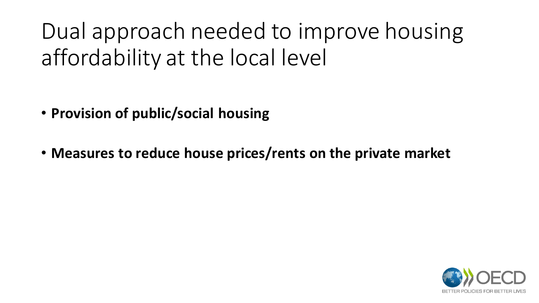Dual approach needed to improve housing affordability at the local level

- **Provision of public/social housing**
- **Measures to reduce house prices/rents on the private market**

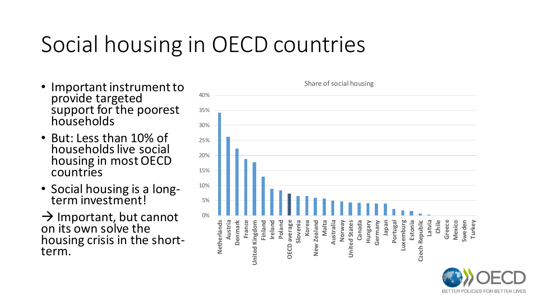#### Social housing in OECD countries

- Important instrument to provide targeted support for the poorest households
- But: Less than 10% of households live social housing in most OECD countries
- Social housing is a longterm investment!

 $\rightarrow$  Important, but cannot on its own solve the housing crisis in the shortterm.



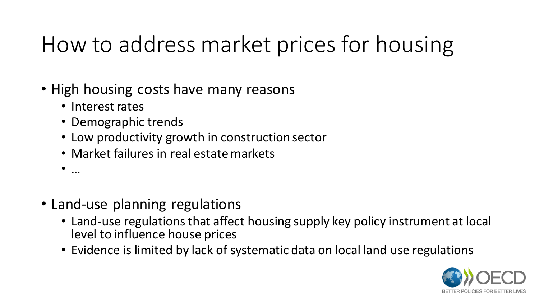#### How to address market prices for housing

- High housing costs have many reasons
	- Interest rates
	- Demographic trends
	- Low productivity growth in construction sector
	- Market failures in real estate markets
	- $\bullet$  …
- Land-use planning regulations
	- Land-use regulations that affect housing supply key policy instrument at local level to influence house prices
	- Evidence is limited by lack of systematic data on local land use regulations

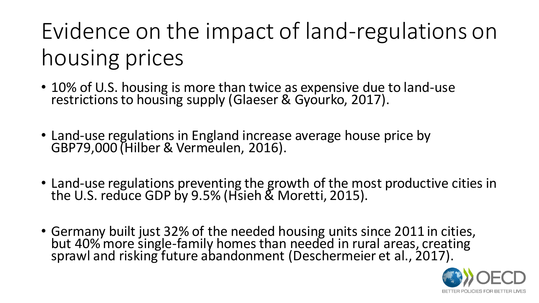## Evidence on the impact of land-regulations on housing prices

- 10% of U.S. housing is more than twice as expensive due to land-use restrictions to housing supply (Glaeser & Gyourko, 2017).
- Land-use regulations in England increase average house price by GBP79,000 (Hilber & Vermeulen, 2016).
- Land-use regulations preventing the growth of the most productive cities in the U.S. reduce GDP by 9.5% (Hsieh & Moretti, 2015).
- Germany built just 32% of the needed housing units since 2011 in cities, but 40% more single-family homes than needed in rural areas, creating sprawl and risking future abandonment (Deschermeier et al., 2017).

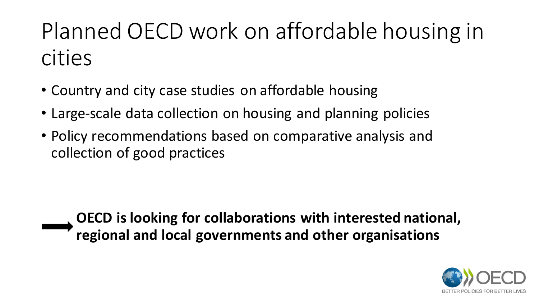### Planned OECD work on affordable housing in cities

- Country and city case studies on affordable housing
- Large-scale data collection on housing and planning policies
- Policy recommendations based on comparative analysis and collection of good practices

**OECD is looking for collaborations with interested national, regional and local governments and other organisations**